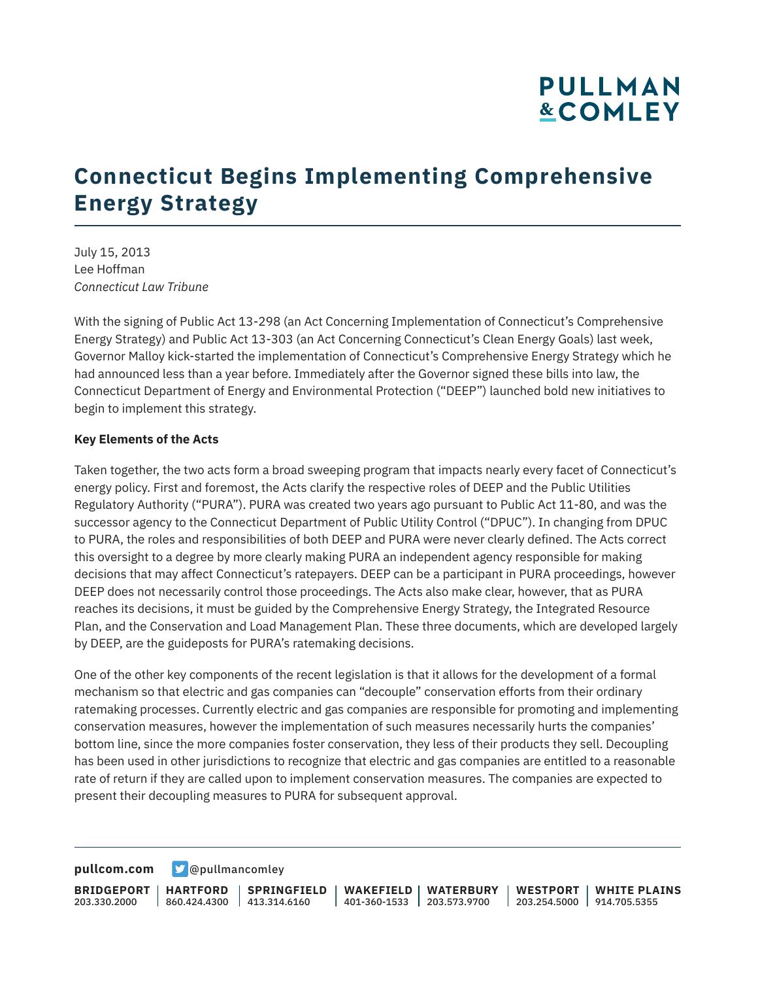## **PULLMAN &COMLEY**

# **Connecticut Begins Implementing Comprehensive Energy Strategy**

July 15, 2013 Lee Hoffman *Connecticut Law Tribune*

With the signing of Public Act 13-298 (an Act Concerning Implementation of Connecticut's Comprehensive Energy Strategy) and Public Act 13-303 (an Act Concerning Connecticut's Clean Energy Goals) last week, Governor Malloy kick-started the implementation of Connecticut's Comprehensive Energy Strategy which he had announced less than a year before. Immediately after the Governor signed these bills into law, the Connecticut Department of Energy and Environmental Protection ("DEEP") launched bold new initiatives to begin to implement this strategy.

#### **Key Elements of the Acts**

Taken together, the two acts form a broad sweeping program that impacts nearly every facet of Connecticut's energy policy. First and foremost, the Acts clarify the respective roles of DEEP and the Public Utilities Regulatory Authority ("PURA"). PURA was created two years ago pursuant to Public Act 11-80, and was the successor agency to the Connecticut Department of Public Utility Control ("DPUC"). In changing from DPUC to PURA, the roles and responsibilities of both DEEP and PURA were never clearly defined. The Acts correct this oversight to a degree by more clearly making PURA an independent agency responsible for making decisions that may affect Connecticut's ratepayers. DEEP can be a participant in PURA proceedings, however DEEP does not necessarily control those proceedings. The Acts also make clear, however, that as PURA reaches its decisions, it must be guided by the Comprehensive Energy Strategy, the Integrated Resource Plan, and the Conservation and Load Management Plan. These three documents, which are developed largely by DEEP, are the guideposts for PURA's ratemaking decisions.

One of the other key components of the recent legislation is that it allows for the development of a formal mechanism so that electric and gas companies can "decouple" conservation efforts from their ordinary ratemaking processes. Currently electric and gas companies are responsible for promoting and implementing conservation measures, however the implementation of such measures necessarily hurts the companies' bottom line, since the more companies foster conservation, they less of their products they sell. Decoupling has been used in other jurisdictions to recognize that electric and gas companies are entitled to a reasonable rate of return if they are called upon to implement conservation measures. The companies are expected to present their decoupling measures to PURA for subsequent approval.

**[pullcom.com](https://www.pullcom.com) g** [@pullmancomley](https://twitter.com/PullmanComley)

**BRIDGEPORT** 203.330.2000 **HARTFORD** 860.424.4300 413.314.6160 **SPRINGFIELD WAKEFIELD WATERBURY** 401-360-1533 203.573.9700 **WESTPORT WHITE PLAINS** 203.254.5000 914.705.5355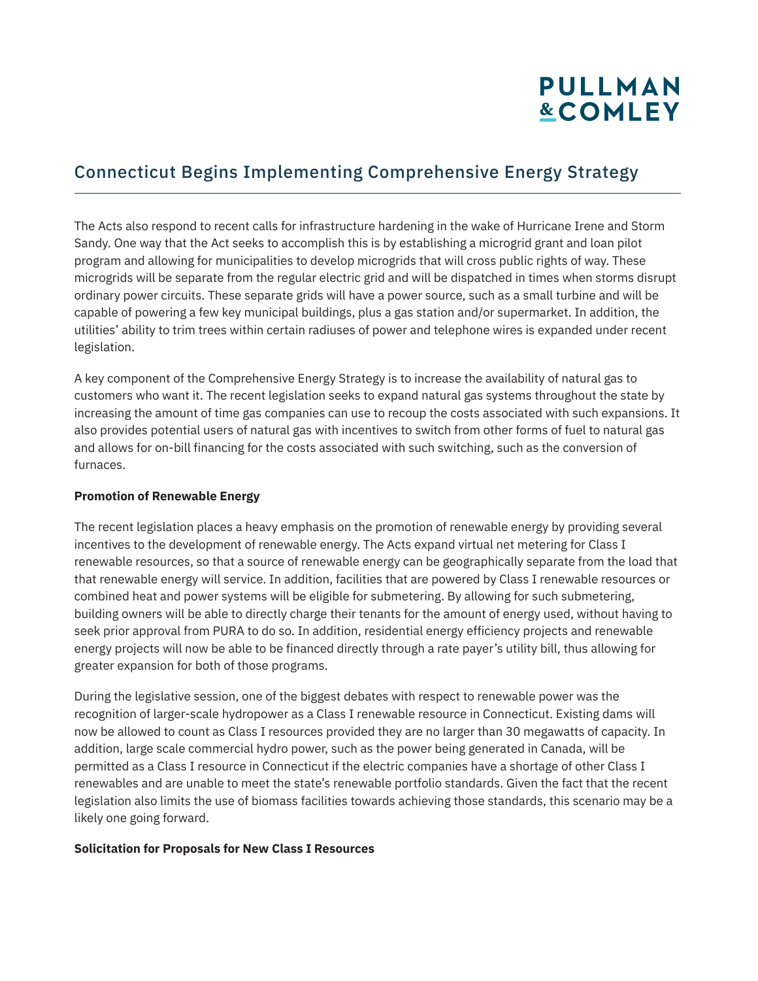# **PULLMAN &COMLEY**

### Connecticut Begins Implementing Comprehensive Energy Strategy

The Acts also respond to recent calls for infrastructure hardening in the wake of Hurricane Irene and Storm Sandy. One way that the Act seeks to accomplish this is by establishing a microgrid grant and loan pilot program and allowing for municipalities to develop microgrids that will cross public rights of way. These microgrids will be separate from the regular electric grid and will be dispatched in times when storms disrupt ordinary power circuits. These separate grids will have a power source, such as a small turbine and will be capable of powering a few key municipal buildings, plus a gas station and/or supermarket. In addition, the utilities' ability to trim trees within certain radiuses of power and telephone wires is expanded under recent legislation.

A key component of the Comprehensive Energy Strategy is to increase the availability of natural gas to customers who want it. The recent legislation seeks to expand natural gas systems throughout the state by increasing the amount of time gas companies can use to recoup the costs associated with such expansions. It also provides potential users of natural gas with incentives to switch from other forms of fuel to natural gas and allows for on-bill financing for the costs associated with such switching, such as the conversion of furnaces.

#### **Promotion of Renewable Energy**

The recent legislation places a heavy emphasis on the promotion of renewable energy by providing several incentives to the development of renewable energy. The Acts expand virtual net metering for Class I renewable resources, so that a source of renewable energy can be geographically separate from the load that that renewable energy will service. In addition, facilities that are powered by Class I renewable resources or combined heat and power systems will be eligible for submetering. By allowing for such submetering, building owners will be able to directly charge their tenants for the amount of energy used, without having to seek prior approval from PURA to do so. In addition, residential energy efficiency projects and renewable energy projects will now be able to be financed directly through a rate payer's utility bill, thus allowing for greater expansion for both of those programs.

During the legislative session, one of the biggest debates with respect to renewable power was the recognition of larger-scale hydropower as a Class I renewable resource in Connecticut. Existing dams will now be allowed to count as Class I resources provided they are no larger than 30 megawatts of capacity. In addition, large scale commercial hydro power, such as the power being generated in Canada, will be permitted as a Class I resource in Connecticut if the electric companies have a shortage of other Class I renewables and are unable to meet the state's renewable portfolio standards. Given the fact that the recent legislation also limits the use of biomass facilities towards achieving those standards, this scenario may be a likely one going forward.

#### **Solicitation for Proposals for New Class I Resources**